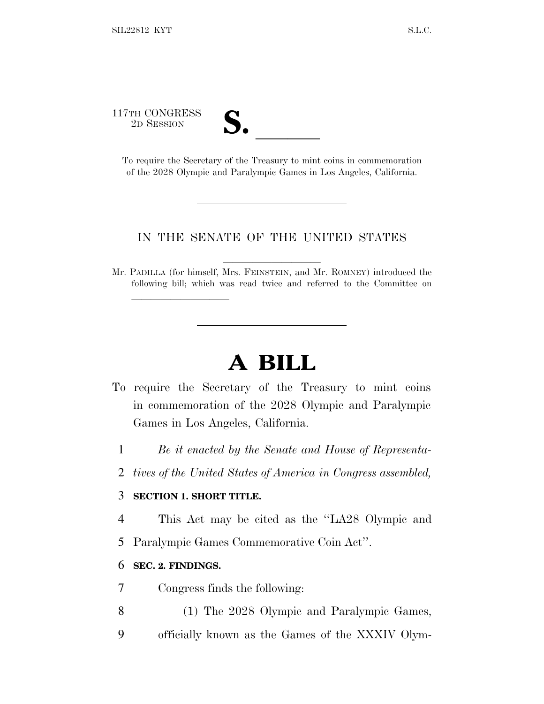117TH CONGRESS

lla se al consegue de la consegue de la consegue de la consegue de la consegue de la consegue de la consegue d<br>La consegue de la consegue de la consegue de la consegue de la consegue de la consegue de la consegue de la co

TTH CONGRESS<br>
2D SESSION<br>
To require the Secretary of the Treasury to mint coins in commemoration of the 2028 Olympic and Paralympic Games in Los Angeles, California.

#### IN THE SENATE OF THE UNITED STATES

Mr. PADILLA (for himself, Mrs. FEINSTEIN, and Mr. ROMNEY) introduced the following bill; which was read twice and referred to the Committee on

# **A BILL**

- To require the Secretary of the Treasury to mint coins in commemoration of the 2028 Olympic and Paralympic Games in Los Angeles, California.
	- 1 *Be it enacted by the Senate and House of Representa-*
	- 2 *tives of the United States of America in Congress assembled,*

### 3 **SECTION 1. SHORT TITLE.**

- 4 This Act may be cited as the ''LA28 Olympic and
- 5 Paralympic Games Commemorative Coin Act''.

#### 6 **SEC. 2. FINDINGS.**

- 7 Congress finds the following:
- 8 (1) The 2028 Olympic and Paralympic Games,
- 9 officially known as the Games of the XXXIV Olym-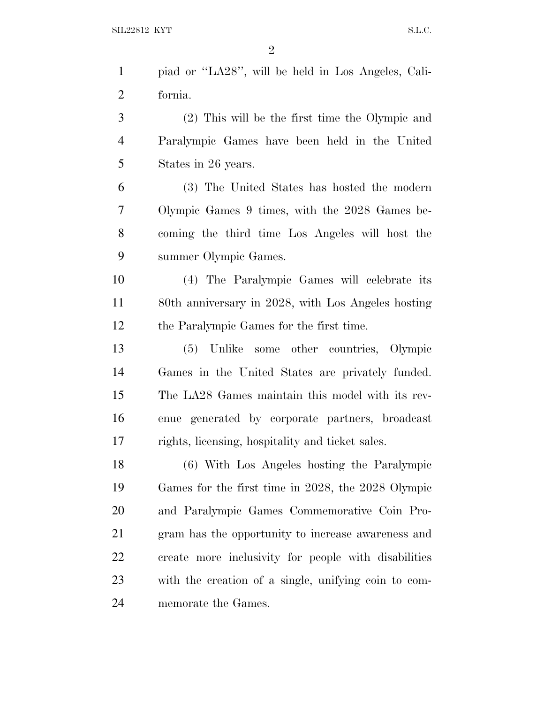|                | $\overline{2}$                                     |
|----------------|----------------------------------------------------|
| $\mathbf{1}$   | piad or "LA28", will be held in Los Angeles, Cali- |
| $\overline{2}$ | fornia.                                            |
| 3              | (2) This will be the first time the Olympic and    |
| $\overline{4}$ | Paralympic Games have been held in the United      |
| 5              | States in 26 years.                                |
| 6              | (3) The United States has hosted the modern        |
| $\tau$         | Olympic Games 9 times, with the 2028 Games be-     |
| 8              | coming the third time Los Angeles will host the    |
| 9              | summer Olympic Games.                              |
| 10             | (4) The Paralympic Games will celebrate its        |
| 11             | 80th anniversary in 2028, with Los Angeles hosting |
| 12             | the Paralympic Games for the first time.           |
| 13             | Unlike some other countries, Olympic<br>(5)        |
| 14             | Games in the United States are privately funded.   |
| 15             | The LA28 Games maintain this model with its rev-   |
| 16             | enue generated by corporate partners, broadcast    |

rights, licensing, hospitality and ticket sales.

 (6) With Los Angeles hosting the Paralympic Games for the first time in 2028, the 2028 Olympic and Paralympic Games Commemorative Coin Pro- gram has the opportunity to increase awareness and create more inclusivity for people with disabilities with the creation of a single, unifying coin to com-memorate the Games.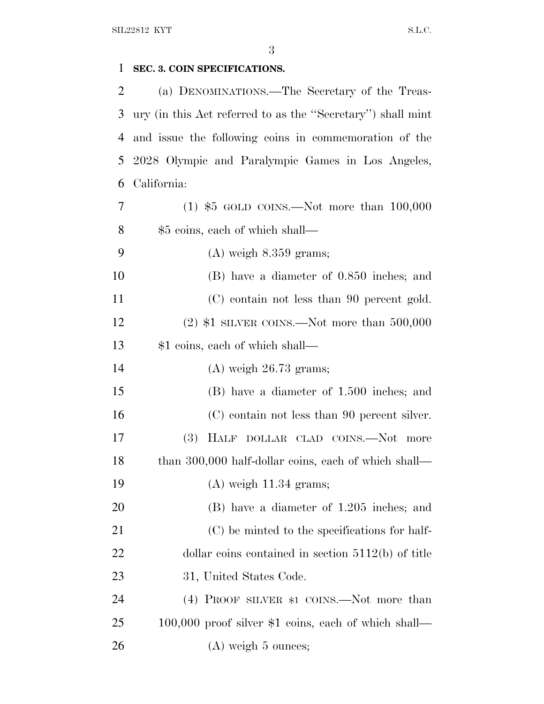## **SEC. 3. COIN SPECIFICATIONS.** (a) DENOMINATIONS.—The Secretary of the Treas- ury (in this Act referred to as the ''Secretary'') shall mint and issue the following coins in commemoration of the 2028 Olympic and Paralympic Games in Los Angeles, California: (1) \$5 GOLD COINS.—Not more than 100,000 \$5 coins, each of which shall— (A) weigh 8.359 grams; (B) have a diameter of 0.850 inches; and (C) contain not less than 90 percent gold. (2) \$1 SILVER COINS.—Not more than 500,000 \$1 coins, each of which shall— (A) weigh 26.73 grams; (B) have a diameter of 1.500 inches; and (C) contain not less than 90 percent silver.

 (3) HALF DOLLAR CLAD COINS.—Not more 18 than 300,000 half-dollar coins, each of which shall— (A) weigh 11.34 grams; (B) have a diameter of 1.205 inches; and (C) be minted to the specifications for half-22 dollar coins contained in section 5112(b) of title 23 31, United States Code.

24 (4) PROOF SILVER \$1 COINS.—Not more than 100,000 proof silver \$1 coins, each of which shall— 26 (A) weigh 5 ounces;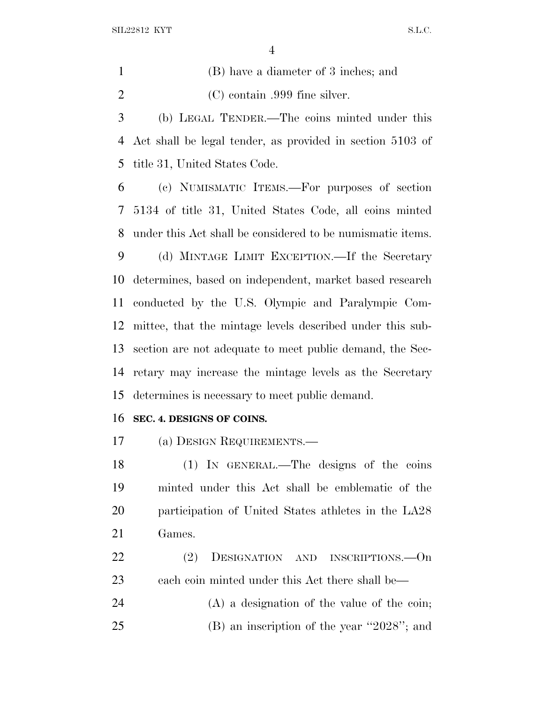| (B) have a diameter of 3 inches; and |
|--------------------------------------|
| $(C)$ contain .999 fine silver.      |

 (b) LEGAL TENDER.—The coins minted under this Act shall be legal tender, as provided in section 5103 of title 31, United States Code.

 (c) NUMISMATIC ITEMS.—For purposes of section 5134 of title 31, United States Code, all coins minted under this Act shall be considered to be numismatic items.

 (d) MINTAGE LIMIT EXCEPTION.—If the Secretary determines, based on independent, market based research conducted by the U.S. Olympic and Paralympic Com- mittee, that the mintage levels described under this sub- section are not adequate to meet public demand, the Sec- retary may increase the mintage levels as the Secretary determines is necessary to meet public demand.

#### **SEC. 4. DESIGNS OF COINS.**

(a) DESIGN REQUIREMENTS.—

 (1) IN GENERAL.—The designs of the coins minted under this Act shall be emblematic of the participation of United States athletes in the LA28 Games.

 (2) DESIGNATION AND INSCRIPTIONS.—On each coin minted under this Act there shall be—

 (A) a designation of the value of the coin; (B) an inscription of the year ''2028''; and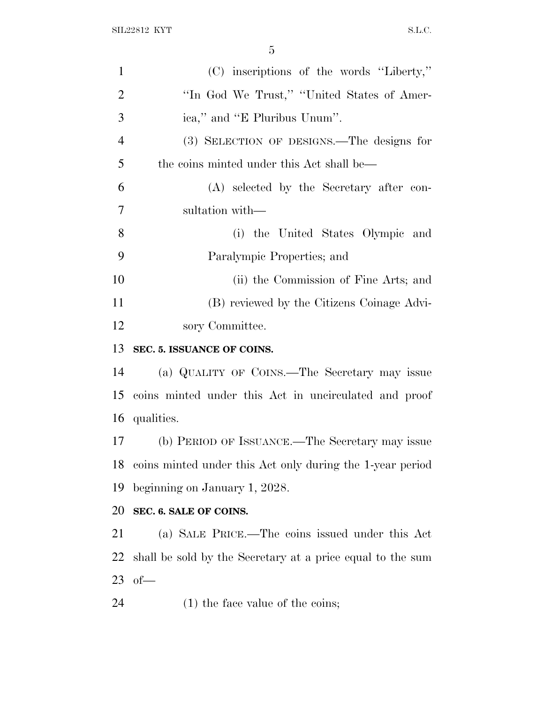| $\mathbf{1}$   | (C) inscriptions of the words "Liberty,"                   |
|----------------|------------------------------------------------------------|
| $\overline{2}$ | "In God We Trust," "United States of Amer-                 |
| 3              | ica," and "E Pluribus Unum".                               |
| $\overline{4}$ | (3) SELECTION OF DESIGNS.—The designs for                  |
| 5              | the coins minted under this Act shall be—                  |
| 6              | (A) selected by the Secretary after con-                   |
| $\overline{7}$ | sultation with—                                            |
| 8              | (i) the United States Olympic and                          |
| 9              | Paralympic Properties; and                                 |
| 10             | (ii) the Commission of Fine Arts; and                      |
| 11             | (B) reviewed by the Citizens Coinage Advi-                 |
| 12             | sory Committee.                                            |
| 13             | SEC. 5. ISSUANCE OF COINS.                                 |
| 14             | (a) QUALITY OF COINS.—The Secretary may issue              |
| 15             | coins minted under this Act in uncirculated and proof      |
| 16             | qualities.                                                 |
| 17             | (b) PERIOD OF ISSUANCE.—The Secretary may issue            |
| 18             | coins minted under this Act only during the 1-year period  |
| 19             | beginning on January 1, 2028.                              |
| 20             | SEC. 6. SALE OF COINS.                                     |
| 21             | (a) SALE PRICE.—The coins issued under this Act            |
| 22             | shall be sold by the Secretary at a price equal to the sum |
| 23             | $of$ —                                                     |
| 24             | $(1)$ the face value of the coins;                         |
|                |                                                            |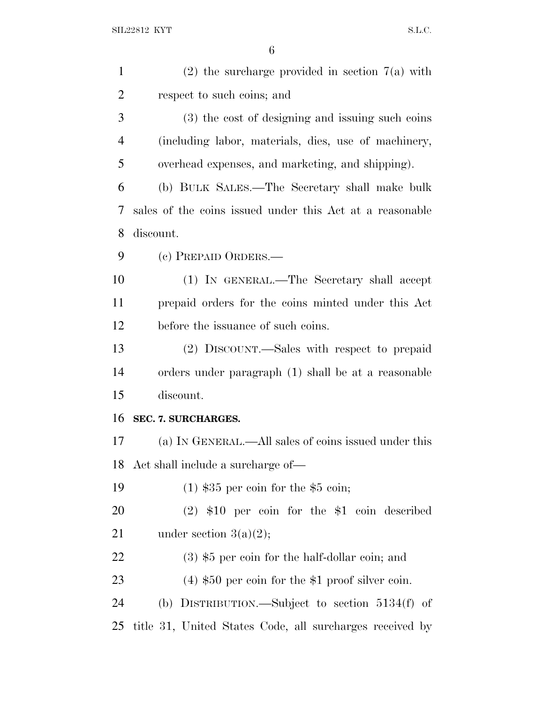| $\mathbf{1}$   | $(2)$ the surcharge provided in section $7(a)$ with      |
|----------------|----------------------------------------------------------|
| $\overline{2}$ | respect to such coins; and                               |
| 3              | (3) the cost of designing and issuing such coins         |
| $\overline{4}$ | (including labor, materials, dies, use of machinery,     |
| 5              | overhead expenses, and marketing, and shipping).         |
| 6              | (b) BULK SALES.—The Secretary shall make bulk            |
| 7              | sales of the coins issued under this Act at a reasonable |
| 8              | discount.                                                |
| 9              | (c) PREPAID ORDERS.-                                     |
| 10             | (1) IN GENERAL.—The Secretary shall accept               |
| 11             | prepaid orders for the coins minted under this Act       |
| 12             | before the issuance of such coins.                       |
| 13             | (2) DISCOUNT.—Sales with respect to prepaid              |
| 14             | orders under paragraph (1) shall be at a reasonable      |
| 15             | discount.                                                |
| 16             | SEC. 7. SURCHARGES.                                      |
| 17             | (a) IN GENERAL.—All sales of coins issued under this     |
|                | 18 Act shall include a surcharge of—                     |
| 19             | $(1)$ \$35 per coin for the \$5 coin;                    |
| <b>20</b>      | $(2)$ \$10 per coin for the \$1 coin described           |
| 21             | under section $3(a)(2)$ ;                                |
| 22             | $(3)$ \$5 per coin for the half-dollar coin; and         |
| 23             | $(4)$ \$50 per coin for the \$1 proof silver coin.       |
| 24             | (b) DISTRIBUTION.—Subject to section $5134(f)$ of        |
| 25             | title 31, United States Code, all surcharges received by |
|                |                                                          |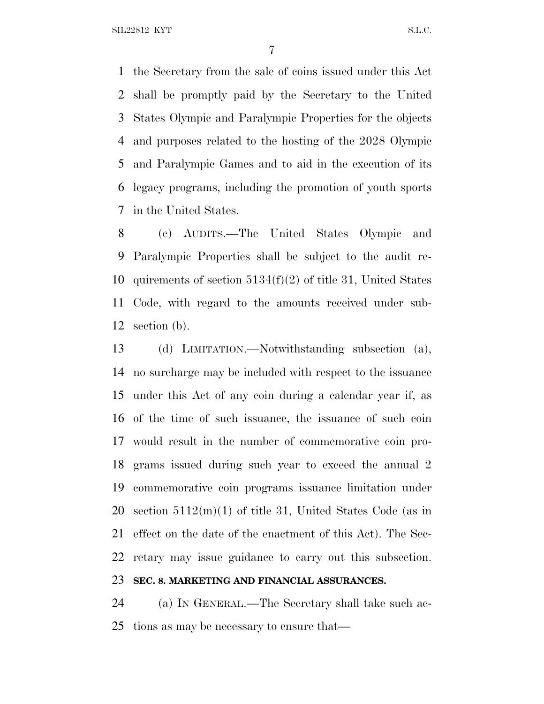SIL22812 KYT S.L.C.

 the Secretary from the sale of coins issued under this Act shall be promptly paid by the Secretary to the United States Olympic and Paralympic Properties for the objects and purposes related to the hosting of the 2028 Olympic and Paralympic Games and to aid in the execution of its legacy programs, including the promotion of youth sports in the United States.

 (c) AUDITS.—The United States Olympic and Paralympic Properties shall be subject to the audit re- quirements of section 5134(f)(2) of title 31, United States Code, with regard to the amounts received under sub-section (b).

 (d) LIMITATION.—Notwithstanding subsection (a), no surcharge may be included with respect to the issuance under this Act of any coin during a calendar year if, as of the time of such issuance, the issuance of such coin would result in the number of commemorative coin pro- grams issued during such year to exceed the annual 2 commemorative coin programs issuance limitation under section 5112(m)(1) of title 31, United States Code (as in effect on the date of the enactment of this Act). The Sec-retary may issue guidance to carry out this subsection.

## **SEC. 8. MARKETING AND FINANCIAL ASSURANCES.**

 (a) I<sup>N</sup> GENERAL.—The Secretary shall take such ac-tions as may be necessary to ensure that—